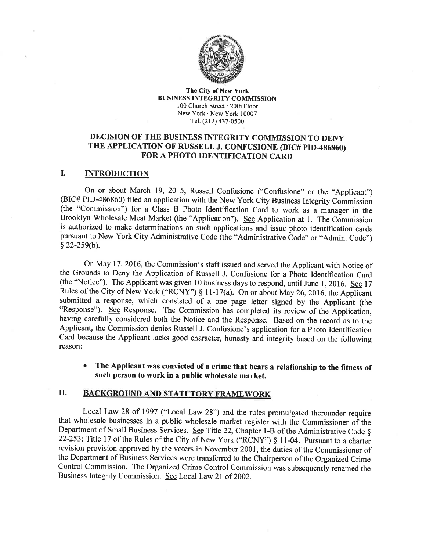

#### The City of New York BUSINESS INTEGRITY COMMISSION 100 Church Street . 20th Floor New York  $\cdot$  New York 10007 Tel. (212) 437-0s00

# DECISION OF THE BUSINESS INTEGRITY COMMISSION TO DENY THE APPLICATION OF RUSSELL J. CONFUSIONE (BIC# PID-486860) FOR A PHOTO IDENTIFICATION CARD

#### I. INTRODUCTION

On or about March 19, 2015, Russell Confusione ("Confusione" or the "Applicant") (BIC# PID-486860) filed an application with the New York City Business Integrity Commission (the "Commission") for a Class B Photo ldentifîcation Card to work as a manager in the Brooklyn Wholesale Meat Market (the "Application"). See Application at 1. The Commission is authorized to make determinations on such applications and issue photo identification cards pursuant to New York City Administrative Code (the "Administrative Code" or "Admin. Code")  $§$  22-259(b).

On May 17,2016, the Commission's staff issued and served the Applicant with Notice of the Grounds to Deny the Application of Russell J. Confusione for a Photo Identification Card (the "Notice"). The Applicant was given l0 business days to respond, until June l,2016. See <sup>17</sup> Rules of the City of New York ("RCNY")  $\S$  11-17(a). On or about May 26, 2016, the Applicant submitted a response, which consisted of a one page letter signed by the Applicant (the "Response"). See Response. The Commission has completed its review of the Application, having carefully considered both the Notice and the Response. Based on the record as to the Applicant, the Commission denies Russell J. Confusione's application for a Photo Identification Card because the Applicant lacks good character, honesty and integrity based on the following reason:

The Applicant was convicted of a crime that bears a relationship to the fïtness of such person to work in a public wholesale market. a

## II. BACKGROUND AND STATUTORY FRAMEWORK

Local Law 28 of 1997 ("Local Law 28") and the rules promulgated thereunder require that wholesale businesses in a public wholesale market register with the Commissioner of the Department of Small Business Services. See Title 22, Chapter 1-B of the Administrative Code  $\S$ 22-253; Title 17 of the Rules of the City of New York ("RCNY")  $\S$  11-04. Pursuant to a charter revision provision approved by the voters in November 2001, the duties of the Commissioner of the Department of Business Services were transferred to the Chairperson of the Organized Crime Control Commission. The Organized Crime Control Commission was subsequently renamed the Business Integrity Commission. See Local Law 2l of 2002.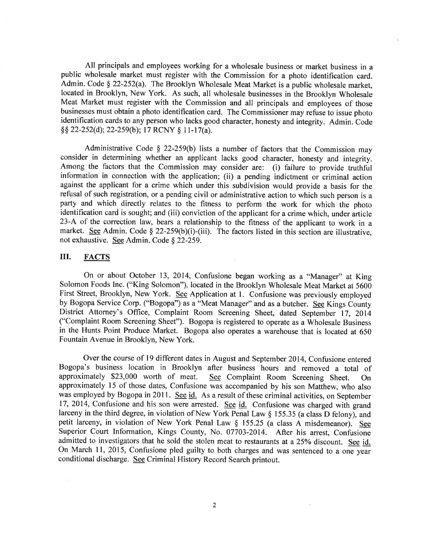All principals and employees working for a wholesale business or market business in <sup>a</sup> public wholesale market must register with the Commission for a photo identification card. Admin. Code § 22-252(a). The Brooklyn Wholesale Meat Market is a public wholesale market, located in Brooklyn, New York. As such, all wholesale businesses in the Brooklyn Wholesale Meat Market must register with the Commission and all principals and employees of those businesses must obtain a photo identification card. The Commissioner may refuse to issue photo identification cards to any person who lacks good character, honesty and integrity. Admin. Code  $\S$ § 22-252(d); 22-259(b); 17 RCNY § 11-17(a).

Administrative Code  $\S$  22-259(b) lists a number of factors that the Commission may consider in determining whether an applicant lacks good character, honesty and integrity. Among the factors that the Commission may consider are: (i) failure to provide truthful information in connection with the application; (ii) a pending indictment or criminal action against the applicant for a crime which under this subdivision would provide a basis for the refusal of such registration, or a pending civil or administrative action to which such person is <sup>a</sup> party and which directly relates to the fitness to perform the work for which the photo identification card is sought; and (iii) conviction of the applicant for a crime which, under article 23-A of the correction law, bears a relationship to the fitness of the applicant to work in <sup>a</sup> market. See Admin. Code § 22-259(b)(i)-(iii). The factors listed in this section are illustrative, not exhaustive. See Admin. Code § 22-259.

## III. FACTS

On or about October 13, 2014, Confusione began working as a "Manager" at King Solomon Foods Inc. ("King Solomon"), located in the Brooklyn Wholesale Meat Market at 5600 First Street, Brooklyn, New York. See Application at 1. Confusione was previously employed by Bogopa Service Corp. ("Bogopa") as a "Meat Manager" and as a butcher. See Kings County District Attorney's Office, Complaint Room Screening Sheet, dated September 17, 2014 ("Complaint Room Screening Sheet"). Bogopa is registered to operate as a Wholesale Business in the Hunts Point Produce Market. Bogopa also operates a warehouse that is located at <sup>650</sup> Fountain Avenue in Brooklyn, New York.

Over the course of 19 different dates in August and September 2014, Confusione entered Bogopa's business location in Brooklyn after business hours and removed a total of approximately \$23,000 worth of meat. See Complaint Room Screening Sheet. On See Complaint Room Screening Sheet. On approximately 15 of those dates, Confusione was accompanied by his son Matthew, who also was employed by Bogopa in 2011. See id. As a result of these criminal activities, on September 17, 2014, Confusione and his son were arrested. See id. Confusione was charged with grand larceny in the third degree, in violation of New York Penal Law \$ 155.35 (a class D felony), and petit larceny, in violation of New York Penal Law § 155.25 (a class A misdemeanor). See Superior Court Information, Kings County, No. 07703-2014. After his arrest, Confusione admitted to investigators that he sold the stolen meat to restaurants at a 25% discount. See id. On March 11, 2015, Confusione pled guilty to both charges and was sentenced to a one year conditional discharge. See Criminal History Record Search printout.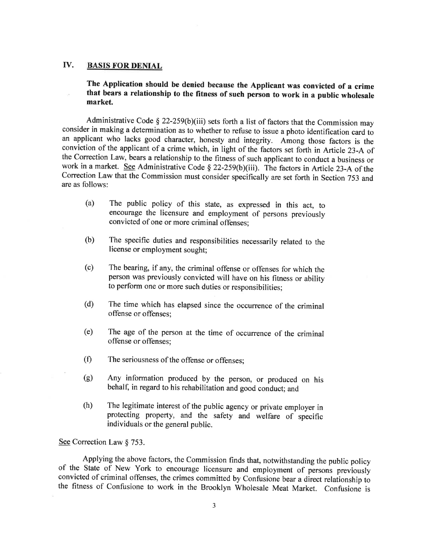## IV. BASIS FOR DENIAL

The Application should be denied because the Appticant was convicted of a crime that bears a relationship to the fitness of such person to work in a public wholesale market.

Administrative Code  $\S 22-259(b)(iii)$  sets forth a list of factors that the Commission may consider in making a determination as to whether to refuse to issue a photo identification card to an applicant who lacks good character, honesty and integrity. Among those factors is the conviction of the applicant of a crime which, in light of the factors set forth in Article 23-Aof the Correction Law, bears a relationship to the fitness of such applicant to conduct a business or work in a market. See Administrative Code § 22-259(b)(iii). The factors in Article 23-A of the Correction Law that the Commission must consider specifically are set forth in Section 753 and, are as follows:

- (a) The public policy of this state, as expressed in this act, to encourage the licensure and employment of persons previously convicted of one or more criminal offenses;
- (b) The specific duties and responsibilities necessarily related to the license or employment sought;
- (c) The bearing, if any, the criminal offense or offenses for which the person was previously convicted will have on his fitness or ability to perform one or more such duties or responsibilities;
- (d) The time which has elapsed since the occurrence of the criminal offense or offenses;
- (e) The age of the person at the time of occurrence of the criminal offense or offenses;
- (f) The seriousness of the offense or offenses:
- (g) Any information produced by the person, or produced on his behalf, in regard to his rehabilitation and good conduct; and
- (h) The legitimate interest of the public agency or private employer in protecting property, and the safety and welfare of specific individuals or the general public.

See Correction Law § 753.

Applying the above factors, the Commission finds that, notwithstanding the public policy of the State of New York to encourage licensure and employment of persons previously convicted of criminal offenses, the crimes committed by Confusione bear a direct relationship to the fitness of Confusione to work in the Brooklyn Wholesale Meat Market. Confusione is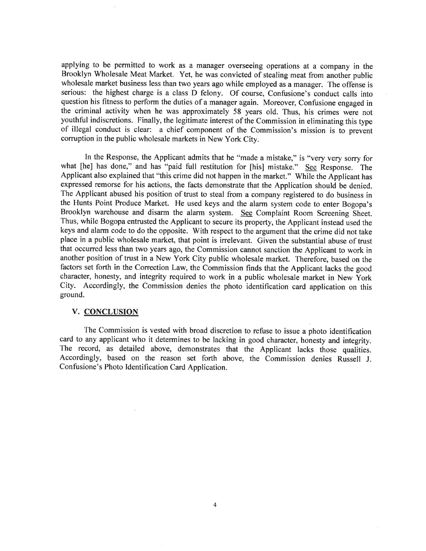applying to be permitted to work as a manager overseeing operations at a company in the Brooklyn Wholesale Meat Market. Yet, he was convicted of stealing meat from another public wholesale market business less than two years ago while employed as a manager. The offense is serious: the highest charge is a class D felony. Of course, Confusione's conduct calls into question his fitness to perform the duties of a manager again. Moreover, Confusione engaged in the criminal activity when he was approximately 58 years old. Thus, his crimes were not youthful indiscretions. Finally, the legitimate interest of the Commission in eliminating this type of illegal conduct is clear: a chief component of the Commission's mission is to prevent corruption in the public wholesale markets in New York City.

In the Response, the Applicant admits that he "made a mistake," is "very very sorry for what [he] has done," and has "paid full restitution for [his] mistake." See Response. The Applicant also explained that "this crime did not happen in the market." While the Applicant has expressed remorse for his actions, the facts demonstrate that the Application should be denied. The Applicant abused his position of trust to steal from a company registered to do business in the Hunts Point Produce Market. He used keys and the alarm system code to enter Bogopa's Brooklyn warehouse and disarm the alarm system. See Complaint Room Screening Sheet. Thus, while Bogopa entrusted the Applicant to secure its property, the Applicant instead used the keys and alarm code to do the opposite. With respect to the argument that the crime did not take place in a public wholesale market, that point is irrelevant. Given the substantial abuse of trust that occurred less than two years ago, the Commission cannot sanction the Applicant to work in another position of trust in a New York City public wholesale market. Therefore, based on the factors set forth in the Correction Law, the Commission finds that the Applicant lacks the good character, honesty, and integrity required to work in a public wholesale market in New York City. Accordingly, the Commission denies the photo identification card application on this ground.

#### V. CONCLUSION

The Commission is vested with broad discretion to refuse to issue a photo identification card to any applicant who it determines to be lacking in good character, honesty and integrity. The record, as detailed above, demonstrates that the Applicant lacks those qualities. Accordingly, based on the reason set forth above, the Commission denies Russell J. Confusione's Photo Identification Card Application.